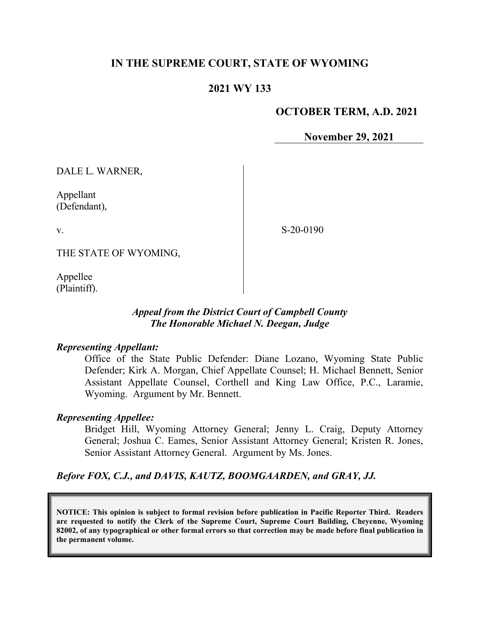## **IN THE SUPREME COURT, STATE OF WYOMING**

## **2021 WY 133**

### **OCTOBER TERM, A.D. 2021**

**November 29, 2021**

DALE L. WARNER,

Appellant (Defendant),

v.

S-20-0190

THE STATE OF WYOMING,

Appellee (Plaintiff).

### *Appeal from the District Court of Campbell County The Honorable Michael N. Deegan, Judge*

#### *Representing Appellant:*

Office of the State Public Defender: Diane Lozano, Wyoming State Public Defender; Kirk A. Morgan, Chief Appellate Counsel; H. Michael Bennett, Senior Assistant Appellate Counsel, Corthell and King Law Office, P.C., Laramie, Wyoming. Argument by Mr. Bennett.

#### *Representing Appellee:*

Bridget Hill, Wyoming Attorney General; Jenny L. Craig, Deputy Attorney General; Joshua C. Eames, Senior Assistant Attorney General; Kristen R. Jones, Senior Assistant Attorney General. Argument by Ms. Jones.

*Before FOX, C.J., and DAVIS, KAUTZ, BOOMGAARDEN, and GRAY, JJ.*

**NOTICE: This opinion is subject to formal revision before publication in Pacific Reporter Third. Readers are requested to notify the Clerk of the Supreme Court, Supreme Court Building, Cheyenne, Wyoming 82002, of any typographical or other formal errors so that correction may be made before final publication in the permanent volume.**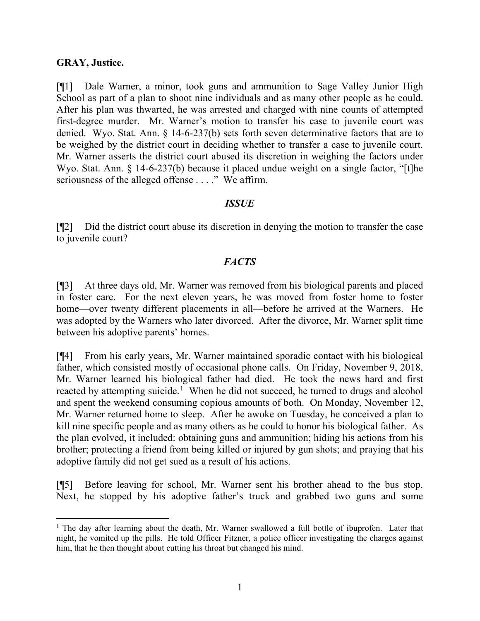#### **GRAY, Justice.**

[¶1] Dale Warner, a minor, took guns and ammunition to Sage Valley Junior High School as part of a plan to shoot nine individuals and as many other people as he could. After his plan was thwarted, he was arrested and charged with nine counts of attempted first-degree murder. Mr. Warner's motion to transfer his case to juvenile court was denied. Wyo. Stat. Ann. § 14-6-237(b) sets forth seven determinative factors that are to be weighed by the district court in deciding whether to transfer a case to juvenile court. Mr. Warner asserts the district court abused its discretion in weighing the factors under Wyo. Stat. Ann. § 14-6-237(b) because it placed undue weight on a single factor, "[t]he seriousness of the alleged offense . . . ." We affirm.

### *ISSUE*

[¶2] Did the district court abuse its discretion in denying the motion to transfer the case to juvenile court?

## *FACTS*

[¶3] At three days old, Mr. Warner was removed from his biological parents and placed in foster care. For the next eleven years, he was moved from foster home to foster home—over twenty different placements in all—before he arrived at the Warners. He was adopted by the Warners who later divorced. After the divorce, Mr. Warner split time between his adoptive parents' homes.

[¶4] From his early years, Mr. Warner maintained sporadic contact with his biological father, which consisted mostly of occasional phone calls. On Friday, November 9, 2018, Mr. Warner learned his biological father had died. He took the news hard and first reacted by attempting suicide.<sup>[1](#page-1-0)</sup> When he did not succeed, he turned to drugs and alcohol and spent the weekend consuming copious amounts of both. On Monday, November 12, Mr. Warner returned home to sleep. After he awoke on Tuesday, he conceived a plan to kill nine specific people and as many others as he could to honor his biological father. As the plan evolved, it included: obtaining guns and ammunition; hiding his actions from his brother; protecting a friend from being killed or injured by gun shots; and praying that his adoptive family did not get sued as a result of his actions.

[¶5] Before leaving for school, Mr. Warner sent his brother ahead to the bus stop. Next, he stopped by his adoptive father's truck and grabbed two guns and some

<span id="page-1-0"></span><sup>&</sup>lt;sup>1</sup> The day after learning about the death, Mr. Warner swallowed a full bottle of ibuprofen. Later that night, he vomited up the pills. He told Officer Fitzner, a police officer investigating the charges against him, that he then thought about cutting his throat but changed his mind.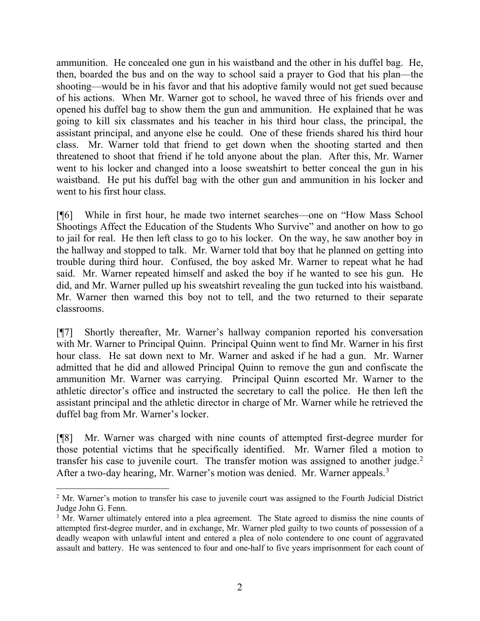ammunition. He concealed one gun in his waistband and the other in his duffel bag. He, then, boarded the bus and on the way to school said a prayer to God that his plan—the shooting—would be in his favor and that his adoptive family would not get sued because of his actions. When Mr. Warner got to school, he waved three of his friends over and opened his duffel bag to show them the gun and ammunition. He explained that he was going to kill six classmates and his teacher in his third hour class, the principal, the assistant principal, and anyone else he could. One of these friends shared his third hour class. Mr. Warner told that friend to get down when the shooting started and then threatened to shoot that friend if he told anyone about the plan. After this, Mr. Warner went to his locker and changed into a loose sweatshirt to better conceal the gun in his waistband. He put his duffel bag with the other gun and ammunition in his locker and went to his first hour class.

[¶6] While in first hour, he made two internet searches—one on "How Mass School Shootings Affect the Education of the Students Who Survive" and another on how to go to jail for real. He then left class to go to his locker. On the way, he saw another boy in the hallway and stopped to talk. Mr. Warner told that boy that he planned on getting into trouble during third hour. Confused, the boy asked Mr. Warner to repeat what he had said. Mr. Warner repeated himself and asked the boy if he wanted to see his gun. He did, and Mr. Warner pulled up his sweatshirt revealing the gun tucked into his waistband. Mr. Warner then warned this boy not to tell, and the two returned to their separate classrooms.

[¶7] Shortly thereafter, Mr. Warner's hallway companion reported his conversation with Mr. Warner to Principal Quinn. Principal Quinn went to find Mr. Warner in his first hour class. He sat down next to Mr. Warner and asked if he had a gun. Mr. Warner admitted that he did and allowed Principal Quinn to remove the gun and confiscate the ammunition Mr. Warner was carrying. Principal Quinn escorted Mr. Warner to the athletic director's office and instructed the secretary to call the police. He then left the assistant principal and the athletic director in charge of Mr. Warner while he retrieved the duffel bag from Mr. Warner's locker.

[¶8] Mr. Warner was charged with nine counts of attempted first-degree murder for those potential victims that he specifically identified. Mr. Warner filed a motion to transfer his case to juvenile court. The transfer motion was assigned to another judge.<sup>[2](#page-2-0)</sup> After a two-day hearing, Mr. Warner's motion was denied. Mr. Warner appeals.<sup>[3](#page-2-1)</sup>

<span id="page-2-0"></span><sup>&</sup>lt;sup>2</sup> Mr. Warner's motion to transfer his case to juvenile court was assigned to the Fourth Judicial District Judge John G. Fenn.

<span id="page-2-1"></span><sup>&</sup>lt;sup>3</sup> Mr. Warner ultimately entered into a plea agreement. The State agreed to dismiss the nine counts of attempted first-degree murder, and in exchange, Mr. Warner pled guilty to two counts of possession of a deadly weapon with unlawful intent and entered a plea of nolo contendere to one count of aggravated assault and battery. He was sentenced to four and one-half to five years imprisonment for each count of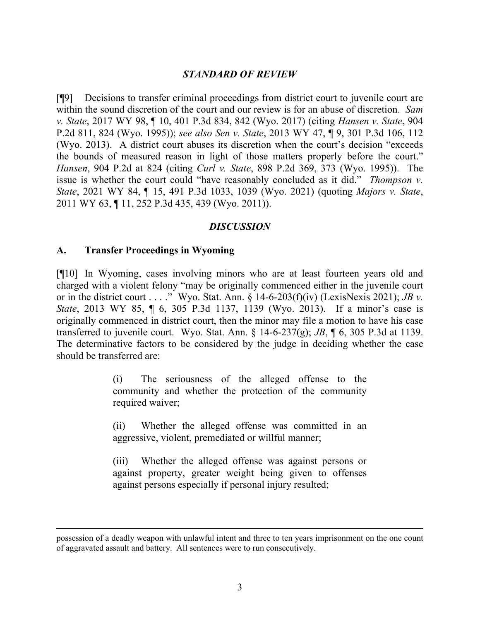### *STANDARD OF REVIEW*

[¶9] Decisions to transfer criminal proceedings from district court to juvenile court are within the sound discretion of the court and our review is for an abuse of discretion. *Sam v. State*, 2017 WY 98, ¶ 10, 401 P.3d 834, 842 (Wyo. 2017) (citing *Hansen v. State*, 904 P.2d 811, 824 (Wyo. 1995)); *see also Sen v. State*, 2013 WY 47, ¶ 9, 301 P.3d 106, 112 (Wyo. 2013). A district court abuses its discretion when the court's decision "exceeds the bounds of measured reason in light of those matters properly before the court." *Hansen*, 904 P.2d at 824 (citing *Curl v. State*, 898 P.2d 369, 373 (Wyo. 1995)). The issue is whether the court could "have reasonably concluded as it did." *Thompson v. State*, 2021 WY 84, ¶ 15, 491 P.3d 1033, 1039 (Wyo. 2021) (quoting *Majors v. State*, 2011 WY 63, ¶ 11, 252 P.3d 435, 439 (Wyo. 2011)).

#### *DISCUSSION*

#### **A. Transfer Proceedings in Wyoming**

[¶10] In Wyoming, cases involving minors who are at least fourteen years old and charged with a violent felony "may be originally commenced either in the juvenile court or in the district court . . . ." Wyo. Stat. Ann. § 14-6-203(f)(iv) (LexisNexis 2021); *JB v. State*, 2013 WY 85, ¶ 6, 305 P.3d 1137, 1139 (Wyo. 2013). If a minor's case is originally commenced in district court, then the minor may file a motion to have his case transferred to juvenile court. Wyo. Stat. Ann. § 14-6-237(g); *JB*, ¶ 6, 305 P.3d at 1139. The determinative factors to be considered by the judge in deciding whether the case should be transferred are:

> (i) The seriousness of the alleged offense to the community and whether the protection of the community required waiver;

> (ii) Whether the alleged offense was committed in an aggressive, violent, premediated or willful manner;

> (iii) Whether the alleged offense was against persons or against property, greater weight being given to offenses against persons especially if personal injury resulted;

possession of a deadly weapon with unlawful intent and three to ten years imprisonment on the one count of aggravated assault and battery. All sentences were to run consecutively.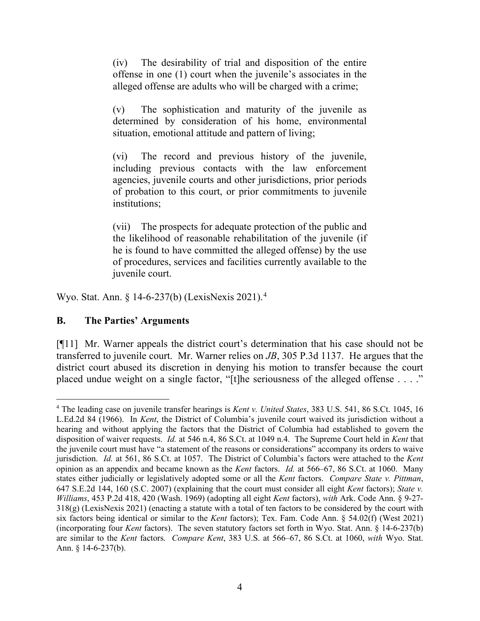(iv) The desirability of trial and disposition of the entire offense in one (1) court when the juvenile's associates in the alleged offense are adults who will be charged with a crime;

(v) The sophistication and maturity of the juvenile as determined by consideration of his home, environmental situation, emotional attitude and pattern of living;

(vi) The record and previous history of the juvenile, including previous contacts with the law enforcement agencies, juvenile courts and other jurisdictions, prior periods of probation to this court, or prior commitments to juvenile institutions;

(vii) The prospects for adequate protection of the public and the likelihood of reasonable rehabilitation of the juvenile (if he is found to have committed the alleged offense) by the use of procedures, services and facilities currently available to the juvenile court.

Wyo. Stat. Ann. § 14-6-237(b) (LexisNexis 2021).[4](#page-4-0)

## **B. The Parties' Arguments**

[¶11] Mr. Warner appeals the district court's determination that his case should not be transferred to juvenile court. Mr. Warner relies on *JB*, 305 P.3d 1137. He argues that the district court abused its discretion in denying his motion to transfer because the court placed undue weight on a single factor, "[t]he seriousness of the alleged offense . . . ."

<span id="page-4-0"></span><sup>4</sup> The leading case on juvenile transfer hearings is *Kent v. United States*, 383 U.S. 541, 86 S.Ct. 1045, 16 L.Ed.2d 84 (1966). In *Kent*, the District of Columbia's juvenile court waived its jurisdiction without a hearing and without applying the factors that the District of Columbia had established to govern the disposition of waiver requests. *Id.* at 546 n.4, 86 S.Ct. at 1049 n.4. The Supreme Court held in *Kent* that the juvenile court must have "a statement of the reasons or considerations" accompany its orders to waive jurisdiction. *Id.* at 561, 86 S.Ct. at 1057. The District of Columbia's factors were attached to the *Kent*  opinion as an appendix and became known as the *Kent* factors. *Id.* at 566–67, 86 S.Ct. at 1060. Many states either judicially or legislatively adopted some or all the *Kent* factors. *Compare State v. Pittman*, 647 S.E.2d 144, 160 (S.C. 2007) (explaining that the court must consider all eight *Kent* factors); *State v. Williams*, 453 P.2d 418, 420 (Wash. 1969) (adopting all eight *Kent* factors), *with* Ark. Code Ann. § 9-27- 318(g) (LexisNexis 2021) (enacting a statute with a total of ten factors to be considered by the court with six factors being identical or similar to the *Kent* factors); Tex. Fam. Code Ann. § 54.02(f) (West 2021) (incorporating four *Kent* factors). The seven statutory factors set forth in Wyo. Stat. Ann. § 14-6-237(b) are similar to the *Kent* factors. *Compare Kent*, 383 U.S. at 566–67, 86 S.Ct. at 1060, *with* Wyo. Stat. Ann. § 14-6-237(b).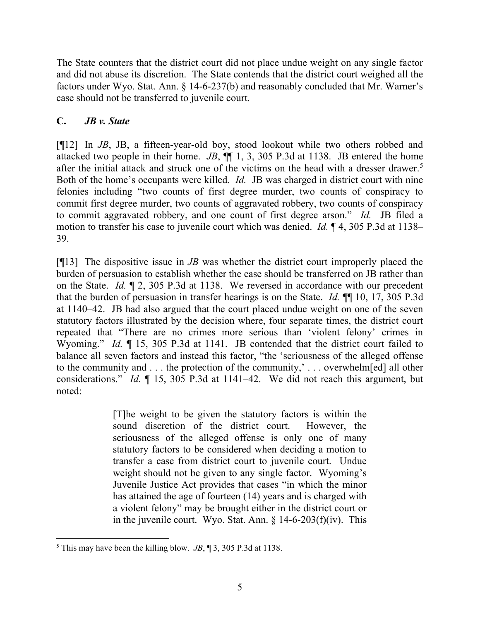The State counters that the district court did not place undue weight on any single factor and did not abuse its discretion. The State contends that the district court weighed all the factors under Wyo. Stat. Ann. § 14-6-237(b) and reasonably concluded that Mr. Warner's case should not be transferred to juvenile court.

# **C.** *JB v. State*

[¶12] In *JB*, JB, a fifteen-year-old boy, stood lookout while two others robbed and attacked two people in their home. *JB*, ¶¶ 1, 3, 305 P.3d at 1138. JB entered the home after the initial attack and struck one of the victims on the head with a dresser drawer. [5](#page-5-0) Both of the home's occupants were killed. *Id.* JB was charged in district court with nine felonies including "two counts of first degree murder, two counts of conspiracy to commit first degree murder, two counts of aggravated robbery, two counts of conspiracy to commit aggravated robbery, and one count of first degree arson." *Id.* JB filed a motion to transfer his case to juvenile court which was denied. *Id.* ¶ 4, 305 P.3d at 1138– 39.

[¶13] The dispositive issue in *JB* was whether the district court improperly placed the burden of persuasion to establish whether the case should be transferred on JB rather than on the State. *Id.* ¶ 2, 305 P.3d at 1138. We reversed in accordance with our precedent that the burden of persuasion in transfer hearings is on the State. *Id.* ¶¶ 10, 17, 305 P.3d at 1140–42. JB had also argued that the court placed undue weight on one of the seven statutory factors illustrated by the decision where, four separate times, the district court repeated that "There are no crimes more serious than 'violent felony' crimes in Wyoming." *Id.*  $\llbracket$  15, 305 P.3d at 1141. JB contended that the district court failed to balance all seven factors and instead this factor, "the 'seriousness of the alleged offense to the community and . . . the protection of the community,' . . . overwhelm[ed] all other considerations." *Id.* ¶ 15, 305 P.3d at 1141–42. We did not reach this argument, but noted:

> [T]he weight to be given the statutory factors is within the sound discretion of the district court. However, the seriousness of the alleged offense is only one of many statutory factors to be considered when deciding a motion to transfer a case from district court to juvenile court. Undue weight should not be given to any single factor. Wyoming's Juvenile Justice Act provides that cases "in which the minor has attained the age of fourteen (14) years and is charged with a violent felony" may be brought either in the district court or in the juvenile court. Wyo. Stat. Ann.  $\S$  14-6-203(f)(iv). This

<span id="page-5-0"></span> $<sup>5</sup>$  This may have been the killing blow. *JB*,  $\parallel$  3, 305 P.3d at 1138.</sup>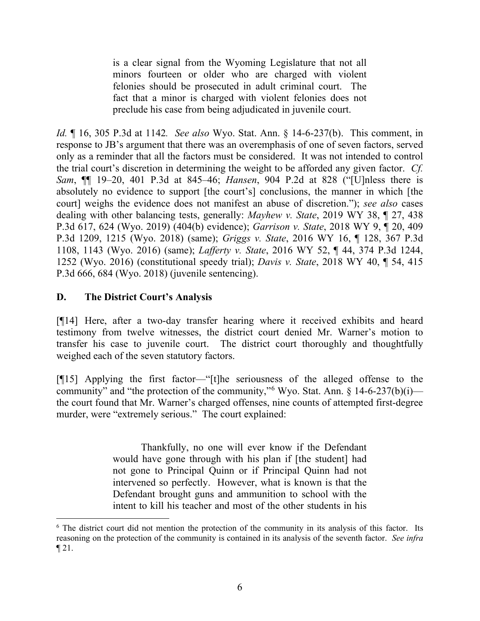is a clear signal from the Wyoming Legislature that not all minors fourteen or older who are charged with violent felonies should be prosecuted in adult criminal court. The fact that a minor is charged with violent felonies does not preclude his case from being adjudicated in juvenile court.

*Id.* ¶ 16, 305 P.3d at 1142*. See also* Wyo. Stat. Ann. § 14-6-237(b). This comment, in response to JB's argument that there was an overemphasis of one of seven factors, served only as a reminder that all the factors must be considered. It was not intended to control the trial court's discretion in determining the weight to be afforded any given factor. *Cf. Sam*, ¶¶ 19–20, 401 P.3d at 845–46; *Hansen*, 904 P.2d at 828 ("[U]nless there is absolutely no evidence to support [the court's] conclusions, the manner in which [the court] weighs the evidence does not manifest an abuse of discretion."); *see also* cases dealing with other balancing tests, generally: *Mayhew v. State*, 2019 WY 38, ¶ 27, 438 P.3d 617, 624 (Wyo. 2019) (404(b) evidence); *Garrison v. State*, 2018 WY 9, ¶ 20, 409 P.3d 1209, 1215 (Wyo. 2018) (same); *Griggs v. State*, 2016 WY 16, ¶ 128, 367 P.3d 1108, 1143 (Wyo. 2016) (same); *Lafferty v. State*, 2016 WY 52, ¶ 44, 374 P.3d 1244, 1252 (Wyo. 2016) (constitutional speedy trial); *Davis v. State*, 2018 WY 40, ¶ 54, 415 P.3d 666, 684 (Wyo. 2018) (juvenile sentencing).

# **D. The District Court's Analysis**

[¶14] Here, after a two-day transfer hearing where it received exhibits and heard testimony from twelve witnesses, the district court denied Mr. Warner's motion to transfer his case to juvenile court. The district court thoroughly and thoughtfully weighed each of the seven statutory factors.

[¶15] Applying the first factor—"[t]he seriousness of the alleged offense to the community" and "the protection of the community,"<sup>[6](#page-6-0)</sup> Wyo. Stat. Ann.  $\frac{14-6-237(b)(i)}{2}$ the court found that Mr. Warner's charged offenses, nine counts of attempted first-degree murder, were "extremely serious." The court explained:

> Thankfully, no one will ever know if the Defendant would have gone through with his plan if [the student] had not gone to Principal Quinn or if Principal Quinn had not intervened so perfectly. However, what is known is that the Defendant brought guns and ammunition to school with the intent to kill his teacher and most of the other students in his

<span id="page-6-0"></span><sup>&</sup>lt;sup>6</sup> The district court did not mention the protection of the community in its analysis of this factor. Its reasoning on the protection of the community is contained in its analysis of the seventh factor. *See infra*  $\P$  21.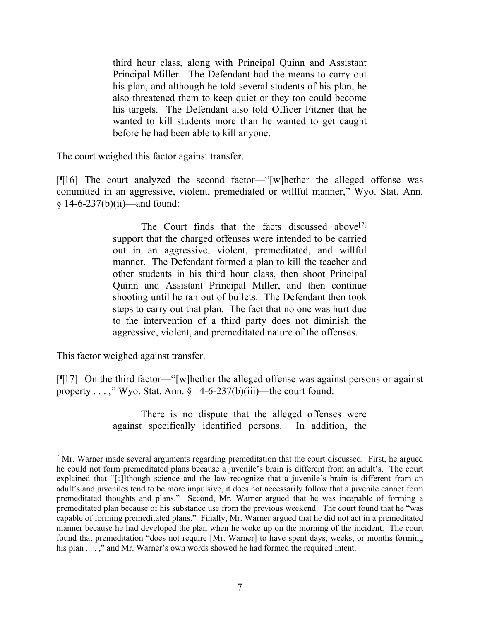third hour class, along with Principal Quinn and Assistant Principal Miller. The Defendant had the means to carry out his plan, and although he told several students of his plan, he also threatened them to keep quiet or they too could become his targets. The Defendant also told Officer Fitzner that he wanted to kill students more than he wanted to get caught before he had been able to kill anyone.

The court weighed this factor against transfer.

[¶16] The court analyzed the second factor—"[w]hether the alleged offense was committed in an aggressive, violent, premediated or willful manner," Wyo. Stat. Ann. § 14-6-237(b)(ii)—and found:

> The Court finds that the facts discussed above<sup>[[7](#page-7-0)]</sup> support that the charged offenses were intended to be carried out in an aggressive, violent, premeditated, and willful manner. The Defendant formed a plan to kill the teacher and other students in his third hour class, then shoot Principal Quinn and Assistant Principal Miller, and then continue shooting until he ran out of bullets. The Defendant then took steps to carry out that plan. The fact that no one was hurt due to the intervention of a third party does not diminish the aggressive, violent, and premeditated nature of the offenses.

This factor weighed against transfer.

[¶17] On the third factor—"[w]hether the alleged offense was against persons or against property . . . ," Wyo. Stat. Ann.  $\S$  14-6-237(b)(iii)—the court found:

> There is no dispute that the alleged offenses were against specifically identified persons. In addition, the

<span id="page-7-0"></span> $<sup>7</sup>$  Mr. Warner made several arguments regarding premeditation that the court discussed. First, he argued</sup> he could not form premeditated plans because a juvenile's brain is different from an adult's. The court explained that "[a]lthough science and the law recognize that a juvenile's brain is different from an adult's and juveniles tend to be more impulsive, it does not necessarily follow that a juvenile cannot form premeditated thoughts and plans." Second, Mr. Warner argued that he was incapable of forming a premeditated plan because of his substance use from the previous weekend. The court found that he "was capable of forming premeditated plans." Finally, Mr. Warner argued that he did not act in a premeditated manner because he had developed the plan when he woke up on the morning of the incident. The court found that premeditation "does not require [Mr. Warner] to have spent days, weeks, or months forming his plan . . . ," and Mr. Warner's own words showed he had formed the required intent.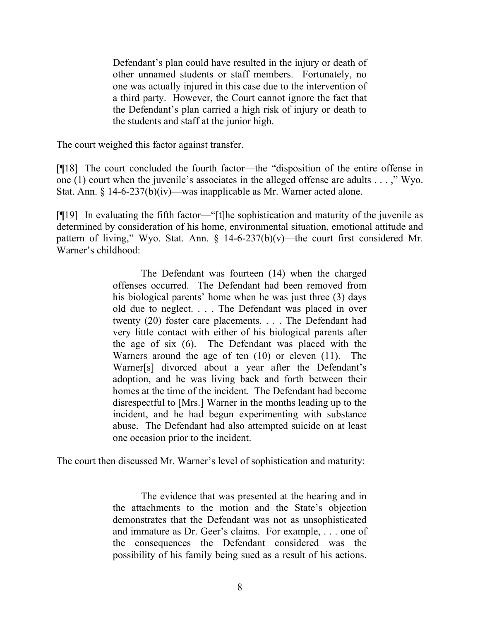Defendant's plan could have resulted in the injury or death of other unnamed students or staff members. Fortunately, no one was actually injured in this case due to the intervention of a third party. However, the Court cannot ignore the fact that the Defendant's plan carried a high risk of injury or death to the students and staff at the junior high.

The court weighed this factor against transfer.

[¶18] The court concluded the fourth factor—the "disposition of the entire offense in one (1) court when the juvenile's associates in the alleged offense are adults . . . ," Wyo. Stat. Ann. § 14-6-237(b)(iv)—was inapplicable as Mr. Warner acted alone.

[¶19] In evaluating the fifth factor—"[t]he sophistication and maturity of the juvenile as determined by consideration of his home, environmental situation, emotional attitude and pattern of living," Wyo. Stat. Ann.  $\S$  14-6-237(b)(v)—the court first considered Mr. Warner's childhood:

> The Defendant was fourteen (14) when the charged offenses occurred. The Defendant had been removed from his biological parents' home when he was just three (3) days old due to neglect. . . . The Defendant was placed in over twenty (20) foster care placements. . . . The Defendant had very little contact with either of his biological parents after the age of six (6). The Defendant was placed with the Warners around the age of ten (10) or eleven (11). The Warner[s] divorced about a year after the Defendant's adoption, and he was living back and forth between their homes at the time of the incident. The Defendant had become disrespectful to [Mrs.] Warner in the months leading up to the incident, and he had begun experimenting with substance abuse. The Defendant had also attempted suicide on at least one occasion prior to the incident.

The court then discussed Mr. Warner's level of sophistication and maturity:

The evidence that was presented at the hearing and in the attachments to the motion and the State's objection demonstrates that the Defendant was not as unsophisticated and immature as Dr. Geer's claims. For example, . . . one of the consequences the Defendant considered was the possibility of his family being sued as a result of his actions.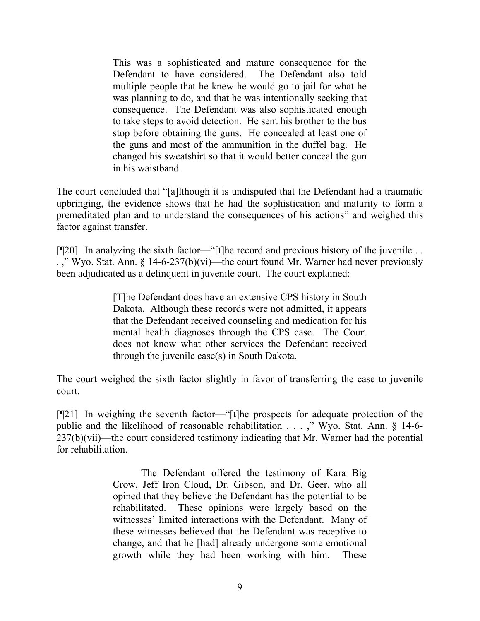This was a sophisticated and mature consequence for the Defendant to have considered. The Defendant also told multiple people that he knew he would go to jail for what he was planning to do, and that he was intentionally seeking that consequence. The Defendant was also sophisticated enough to take steps to avoid detection. He sent his brother to the bus stop before obtaining the guns. He concealed at least one of the guns and most of the ammunition in the duffel bag. He changed his sweatshirt so that it would better conceal the gun in his waistband.

The court concluded that "[a]lthough it is undisputed that the Defendant had a traumatic upbringing, the evidence shows that he had the sophistication and maturity to form a premeditated plan and to understand the consequences of his actions" and weighed this factor against transfer.

[¶20] In analyzing the sixth factor—"[t]he record and previous history of the juvenile . . . ," Wyo. Stat. Ann. § 14-6-237(b)(vi)—the court found Mr. Warner had never previously been adjudicated as a delinquent in juvenile court. The court explained:

> [T]he Defendant does have an extensive CPS history in South Dakota. Although these records were not admitted, it appears that the Defendant received counseling and medication for his mental health diagnoses through the CPS case. The Court does not know what other services the Defendant received through the juvenile case(s) in South Dakota.

The court weighed the sixth factor slightly in favor of transferring the case to juvenile court.

[¶21] In weighing the seventh factor—"[t]he prospects for adequate protection of the public and the likelihood of reasonable rehabilitation . . . ," Wyo. Stat. Ann. § 14-6- 237(b)(vii)—the court considered testimony indicating that Mr. Warner had the potential for rehabilitation.

> The Defendant offered the testimony of Kara Big Crow, Jeff Iron Cloud, Dr. Gibson, and Dr. Geer, who all opined that they believe the Defendant has the potential to be rehabilitated. These opinions were largely based on the witnesses' limited interactions with the Defendant. Many of these witnesses believed that the Defendant was receptive to change, and that he [had] already undergone some emotional growth while they had been working with him. These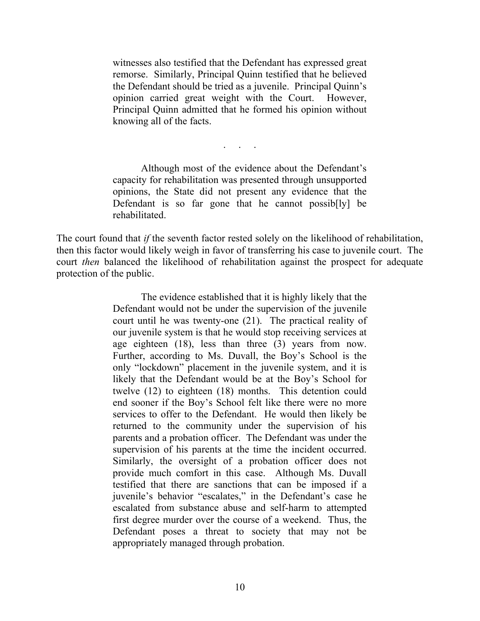witnesses also testified that the Defendant has expressed great remorse. Similarly, Principal Quinn testified that he believed the Defendant should be tried as a juvenile. Principal Quinn's opinion carried great weight with the Court. However, Principal Quinn admitted that he formed his opinion without knowing all of the facts.

. . . . .

Although most of the evidence about the Defendant's capacity for rehabilitation was presented through unsupported opinions, the State did not present any evidence that the Defendant is so far gone that he cannot possib[ly] be rehabilitated.

The court found that *if* the seventh factor rested solely on the likelihood of rehabilitation, then this factor would likely weigh in favor of transferring his case to juvenile court. The court *then* balanced the likelihood of rehabilitation against the prospect for adequate protection of the public.

> The evidence established that it is highly likely that the Defendant would not be under the supervision of the juvenile court until he was twenty-one (21). The practical reality of our juvenile system is that he would stop receiving services at age eighteen (18), less than three (3) years from now. Further, according to Ms. Duvall, the Boy's School is the only "lockdown" placement in the juvenile system, and it is likely that the Defendant would be at the Boy's School for twelve (12) to eighteen (18) months. This detention could end sooner if the Boy's School felt like there were no more services to offer to the Defendant. He would then likely be returned to the community under the supervision of his parents and a probation officer. The Defendant was under the supervision of his parents at the time the incident occurred. Similarly, the oversight of a probation officer does not provide much comfort in this case. Although Ms. Duvall testified that there are sanctions that can be imposed if a juvenile's behavior "escalates," in the Defendant's case he escalated from substance abuse and self-harm to attempted first degree murder over the course of a weekend. Thus, the Defendant poses a threat to society that may not be appropriately managed through probation.